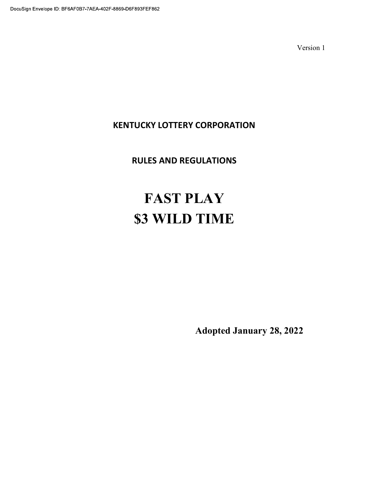# KENTUCKY LOTTERY CORPORATION

# RULES AND REGULATIONS

# FAST PLAY \$3 WILD TIME

Adopted January 28, 2022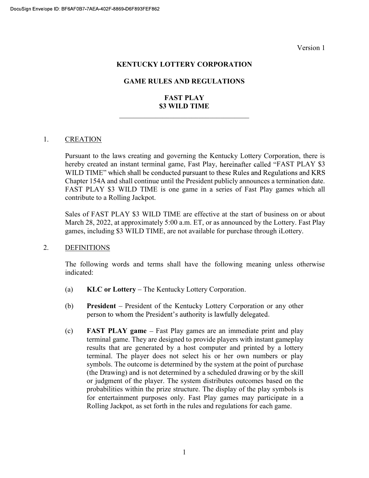#### KENTUCKY LOTTERY CORPORATION

#### GAME RULES AND REGULATIONS

# FAST PLAY \$3 WILD TIME

#### 1. CREATION

Pursuant to the laws creating and governing the Kentucky Lottery Corporation, there is hereby created an instant terminal game, Fast Play, hereinafter called "FAST PLAY \$3 WILD TIME" which shall be conducted pursuant to these Rules and Regulations and KRS Chapter 154A and shall continue until the President publicly announces a termination date. FAST PLAY \$3 WILD TIME is one game in a series of Fast Play games which all contribute to a Rolling Jackpot.

Sales of FAST PLAY \$3 WILD TIME are effective at the start of business on or about March 28, 2022, at approximately 5:00 a.m. ET, or as announced by the Lottery. Fast Play games, including \$3 WILD TIME, are not available for purchase through iLottery.

#### 2. DEFINITIONS

The following words and terms shall have the following meaning unless otherwise indicated:

- (a)  $KLC$  or Lottery The Kentucky Lottery Corporation.
- (b) President President of the Kentucky Lottery Corporation or any other person to whom the President's authority is lawfully delegated.
- $\textbf{(c)}$  **FAST PLAY game** Fast Play games are an immediate print and play terminal game. They are designed to provide players with instant gameplay results that are generated by a host computer and printed by a lottery terminal. The player does not select his or her own numbers or play symbols. The outcome is determined by the system at the point of purchase (the Drawing) and is not determined by a scheduled drawing or by the skill or judgment of the player. The system distributes outcomes based on the probabilities within the prize structure. The display of the play symbols is for entertainment purposes only. Fast Play games may participate in a Rolling Jackpot, as set forth in the rules and regulations for each game.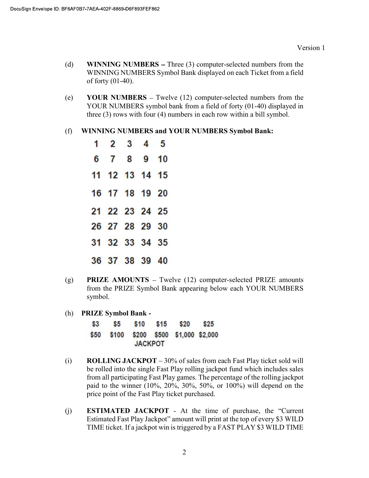- (d) WINNING NUMBERS  $-$  Three (3) computer-selected numbers from the WINNING NUMBERS Symbol Bank displayed on each Ticket from a field of forty (01-40).
- (e) YOUR NUMBERS  $-$  Twelve (12) computer-selected numbers from the YOUR NUMBERS symbol bank from a field of forty (01-40) displayed in three (3) rows with four (4) numbers in each row within a bill symbol.
- (f) WINNING NUMBERS and YOUR NUMBERS Symbol Bank:

| $1\quad 2\quad 3\quad 4\quad 5$ |  |  |
|---------------------------------|--|--|
| 6 7 8 9 10                      |  |  |
| 11 12 13 14 15                  |  |  |
| 16 17 18 19 20                  |  |  |
| 21 22 23 24 25                  |  |  |
| 26 27 28 29 30                  |  |  |
| 31 32 33 34 35                  |  |  |
| 36 37 38 39 40                  |  |  |

- (g) **PRIZE AMOUNTS** Twelve  $(12)$  computer-selected PRIZE amounts from the PRIZE Symbol Bank appearing below each YOUR NUMBERS symbol.
- (h) PRIZE Symbol Bank -

| \$3 | S5. | <b>S10</b>     | \$15 | \$20                                   | \$25 |
|-----|-----|----------------|------|----------------------------------------|------|
|     |     |                |      | \$50 \$100 \$200 \$500 \$1,000 \$2,000 |      |
|     |     | <b>JACKPOT</b> |      |                                        |      |

- (i) ROLLING JACKPOT  $-30\%$  of sales from each Fast Play ticket sold will be rolled into the single Fast Play rolling jackpot fund which includes sales from all participating Fast Play games. The percentage of the rolling jackpot paid to the winner (10%, 20%, 30%, 50%, or 100%) will depend on the price point of the Fast Play ticket purchased.
- (j) **ESTIMATED JACKPOT** At the time of purchase, the "Current Estimated Fast Play Jackpot" amount will print at the top of every \$3 WILD TIME ticket. If a jackpot win is triggered by a FAST PLAY \$3 WILD TIME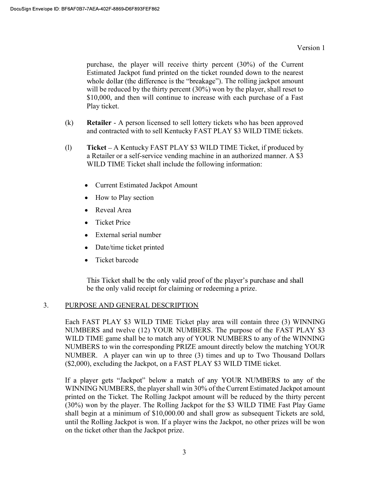purchase, the player will receive thirty percent (30%) of the Current Estimated Jackpot fund printed on the ticket rounded down to the nearest whole dollar (the difference is the "breakage"). The rolling jackpot amount will be reduced by the thirty percent (30%) won by the player, shall reset to \$10,000, and then will continue to increase with each purchase of a Fast Play ticket.

- (k) Retailer A person licensed to sell lottery tickets who has been approved and contracted with to sell Kentucky FAST PLAY \$3 WILD TIME tickets.
- (1) Ticket A Kentucky FAST PLAY  $$3$  WILD TIME Ticket, if produced by a Retailer or a self-service vending machine in an authorized manner. A \$3 WILD TIME Ticket shall include the following information:
	- Current Estimated Jackpot Amount
	- How to Play section
	- Reveal Area
	- Ticket Price
	- External serial number
	- Date/time ticket printed
	- Ticket barcode  $\bullet$

This Ticket shall be the only valid proof of the player's purchase and shall be the only valid receipt for claiming or redeeming a prize.

# 3. PURPOSE AND GENERAL DESCRIPTION

Each FAST PLAY \$3 WILD TIME Ticket play area will contain three (3) WINNING NUMBERS and twelve (12) YOUR NUMBERS. The purpose of the FAST PLAY \$3 WILD TIME game shall be to match any of YOUR NUMBERS to any of the WINNING NUMBERS to win the corresponding PRIZE amount directly below the matching YOUR NUMBER. A player can win up to three (3) times and up to Two Thousand Dollars (\$2,000), excluding the Jackpot, on a FAST PLAY \$3 WILD TIME ticket.

If a player gets "Jackpot" below a match of any YOUR NUMBERS to any of the WINNING NUMBERS, the player shall win 30% of the Current Estimated Jackpot amount printed on the Ticket. The Rolling Jackpot amount will be reduced by the thirty percent (30%) won by the player. The Rolling Jackpot for the \$3 WILD TIME Fast Play Game shall begin at a minimum of \$10,000.00 and shall grow as subsequent Tickets are sold, until the Rolling Jackpot is won. If a player wins the Jackpot, no other prizes will be won on the ticket other than the Jackpot prize.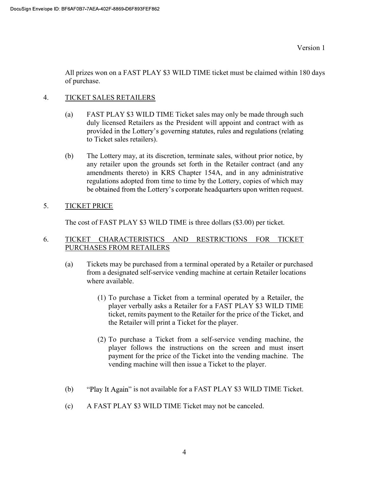All prizes won on a FAST PLAY \$3 WILD TIME ticket must be claimed within 180 days of purchase.

#### 4. TICKET SALES RETAILERS

- (a) FAST PLAY \$3 WILD TIME Ticket sales may only be made through such duly licensed Retailers as the President will appoint and contract with as provided in the Lottery's governing statutes, rules and regulations (relating to Ticket sales retailers).
- (b) The Lottery may, at its discretion, terminate sales, without prior notice, by any retailer upon the grounds set forth in the Retailer contract (and any amendments thereto) in KRS Chapter 154A, and in any administrative regulations adopted from time to time by the Lottery, copies of which may be obtained from the Lottery's corporate headquarters upon written request.

#### 5. TICKET PRICE

The cost of FAST PLAY \$3 WILD TIME is three dollars (\$3.00) per ticket.

#### 6. TICKET CHARACTERISTICS AND RESTRICTIONS FOR TICKET PURCHASES FROM RETAILERS

- (a) Tickets may be purchased from a terminal operated by a Retailer or purchased from a designated self-service vending machine at certain Retailer locations where available.
	- (1) To purchase a Ticket from a terminal operated by a Retailer, the player verbally asks a Retailer for a FAST PLAY \$3 WILD TIME ticket, remits payment to the Retailer for the price of the Ticket, and the Retailer will print a Ticket for the player.
	- (2) To purchase a Ticket from a self-service vending machine, the player follows the instructions on the screen and must insert payment for the price of the Ticket into the vending machine. The vending machine will then issue a Ticket to the player.
- (b) "Play It Again" is not available for a FAST PLAY \$3 WILD TIME Ticket.
- (c) A FAST PLAY \$3 WILD TIME Ticket may not be canceled.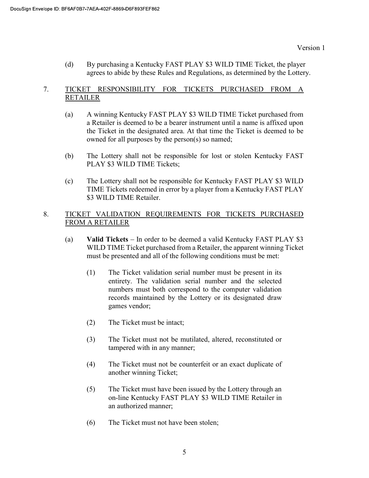(d) By purchasing a Kentucky FAST PLAY \$3 WILD TIME Ticket, the player agrees to abide by these Rules and Regulations, as determined by the Lottery.

# 7. TICKET RESPONSIBILITY FOR TICKETS PURCHASED FROM A RETAILER

- (a) A winning Kentucky FAST PLAY \$3 WILD TIME Ticket purchased from a Retailer is deemed to be a bearer instrument until a name is affixed upon the Ticket in the designated area. At that time the Ticket is deemed to be owned for all purposes by the person(s) so named;
- (b) The Lottery shall not be responsible for lost or stolen Kentucky FAST PLAY \$3 WILD TIME Tickets;
- (c) The Lottery shall not be responsible for Kentucky FAST PLAY \$3 WILD TIME Tickets redeemed in error by a player from a Kentucky FAST PLAY \$3 WILD TIME Retailer.

# 8. TICKET VALIDATION REQUIREMENTS FOR TICKETS PURCHASED FROM A RETAILER

- (a) Valid Tickets  $-$  In order to be deemed a valid Kentucky FAST PLAY \$3 WILD TIME Ticket purchased from a Retailer, the apparent winning Ticket must be presented and all of the following conditions must be met:
	- (1) The Ticket validation serial number must be present in its entirety. The validation serial number and the selected numbers must both correspond to the computer validation records maintained by the Lottery or its designated draw games vendor;
	- (2) The Ticket must be intact;
	- (3) The Ticket must not be mutilated, altered, reconstituted or tampered with in any manner;
	- (4) The Ticket must not be counterfeit or an exact duplicate of another winning Ticket;
	- (5) The Ticket must have been issued by the Lottery through an on-line Kentucky FAST PLAY \$3 WILD TIME Retailer in an authorized manner;
	- (6) The Ticket must not have been stolen;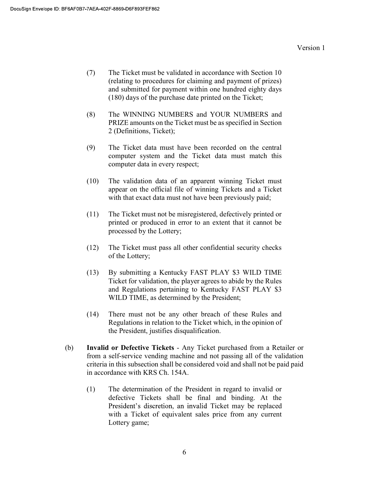- (7) The Ticket must be validated in accordance with Section 10 (relating to procedures for claiming and payment of prizes) and submitted for payment within one hundred eighty days (180) days of the purchase date printed on the Ticket;
- (8) The WINNING NUMBERS and YOUR NUMBERS and PRIZE amounts on the Ticket must be as specified in Section 2 (Definitions, Ticket);
- (9) The Ticket data must have been recorded on the central computer system and the Ticket data must match this computer data in every respect;
- (10) The validation data of an apparent winning Ticket must appear on the official file of winning Tickets and a Ticket with that exact data must not have been previously paid;
- (11) The Ticket must not be misregistered, defectively printed or printed or produced in error to an extent that it cannot be processed by the Lottery;
- (12) The Ticket must pass all other confidential security checks of the Lottery;
- (13) By submitting a Kentucky FAST PLAY \$3 WILD TIME Ticket for validation, the player agrees to abide by the Rules and Regulations pertaining to Kentucky FAST PLAY \$3 WILD TIME, as determined by the President;
- (14) There must not be any other breach of these Rules and Regulations in relation to the Ticket which, in the opinion of the President, justifies disqualification.
- (b) Invalid or Defective Tickets Any Ticket purchased from a Retailer or from a self-service vending machine and not passing all of the validation criteria in this subsection shall be considered void and shall not be paid paid in accordance with KRS Ch. 154A.
	- (1) The determination of the President in regard to invalid or defective Tickets shall be final and binding. At the President's discretion, an invalid Ticket may be replaced with a Ticket of equivalent sales price from any current Lottery game;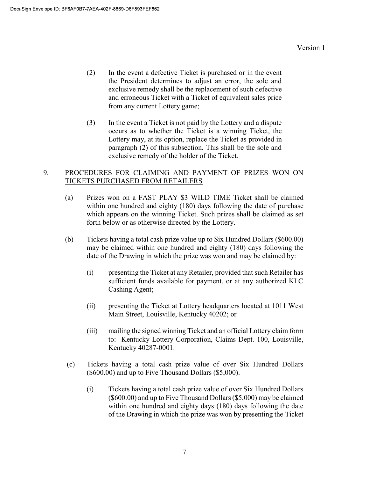- (2) In the event a defective Ticket is purchased or in the event the President determines to adjust an error, the sole and exclusive remedy shall be the replacement of such defective and erroneous Ticket with a Ticket of equivalent sales price from any current Lottery game;
- (3) In the event a Ticket is not paid by the Lottery and a dispute occurs as to whether the Ticket is a winning Ticket, the Lottery may, at its option, replace the Ticket as provided in paragraph (2) of this subsection. This shall be the sole and exclusive remedy of the holder of the Ticket.

#### 9. PROCEDURES FOR CLAIMING AND PAYMENT OF PRIZES WON ON TICKETS PURCHASED FROM RETAILERS

- (a) Prizes won on a FAST PLAY \$3 WILD TIME Ticket shall be claimed within one hundred and eighty (180) days following the date of purchase which appears on the winning Ticket. Such prizes shall be claimed as set forth below or as otherwise directed by the Lottery.
- (b) Tickets having a total cash prize value up to Six Hundred Dollars (\$600.00) may be claimed within one hundred and eighty (180) days following the date of the Drawing in which the prize was won and may be claimed by:
	- (i) presenting the Ticket at any Retailer, provided that such Retailer has sufficient funds available for payment, or at any authorized KLC Cashing Agent;
	- (ii) presenting the Ticket at Lottery headquarters located at 1011 West Main Street, Louisville, Kentucky 40202; or
	- (iii) mailing the signed winning Ticket and an official Lottery claim form to: Kentucky Lottery Corporation, Claims Dept. 100, Louisville, Kentucky 40287-0001.
- (c) Tickets having a total cash prize value of over Six Hundred Dollars (\$600.00) and up to Five Thousand Dollars (\$5,000).
	- (i) Tickets having a total cash prize value of over Six Hundred Dollars (\$600.00) and up to Five Thousand Dollars (\$5,000) may be claimed within one hundred and eighty days (180) days following the date of the Drawing in which the prize was won by presenting the Ticket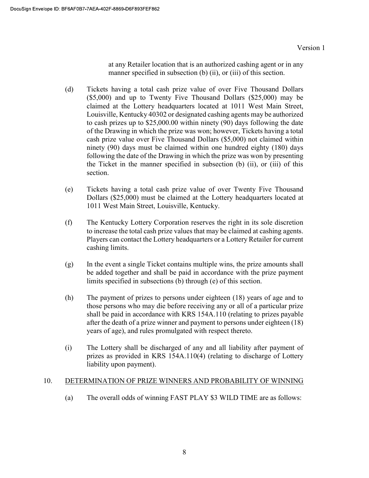at any Retailer location that is an authorized cashing agent or in any manner specified in subsection (b) (ii), or (iii) of this section.

- (d) Tickets having a total cash prize value of over Five Thousand Dollars (\$5,000) and up to Twenty Five Thousand Dollars (\$25,000) may be claimed at the Lottery headquarters located at 1011 West Main Street, Louisville, Kentucky 40302 or designated cashing agents may be authorized to cash prizes up to \$25,000.00 within ninety (90) days following the date of the Drawing in which the prize was won; however, Tickets having a total cash prize value over Five Thousand Dollars (\$5,000) not claimed within ninety (90) days must be claimed within one hundred eighty (180) days following the date of the Drawing in which the prize was won by presenting the Ticket in the manner specified in subsection (b) (ii), or (iii) of this section.
- (e) Tickets having a total cash prize value of over Twenty Five Thousand Dollars (\$25,000) must be claimed at the Lottery headquarters located at 1011 West Main Street, Louisville, Kentucky.
- (f) The Kentucky Lottery Corporation reserves the right in its sole discretion to increase the total cash prize values that may be claimed at cashing agents. Players can contact the Lottery headquarters or a Lottery Retailer for current cashing limits.
- (g) In the event a single Ticket contains multiple wins, the prize amounts shall be added together and shall be paid in accordance with the prize payment limits specified in subsections (b) through (e) of this section.
- (h) The payment of prizes to persons under eighteen (18) years of age and to those persons who may die before receiving any or all of a particular prize shall be paid in accordance with KRS 154A.110 (relating to prizes payable after the death of a prize winner and payment to persons under eighteen (18) years of age), and rules promulgated with respect thereto.
- (i) The Lottery shall be discharged of any and all liability after payment of prizes as provided in KRS 154A.110(4) (relating to discharge of Lottery liability upon payment).

# 10. DETERMINATION OF PRIZE WINNERS AND PROBABILITY OF WINNING

(a) The overall odds of winning FAST PLAY \$3 WILD TIME are as follows: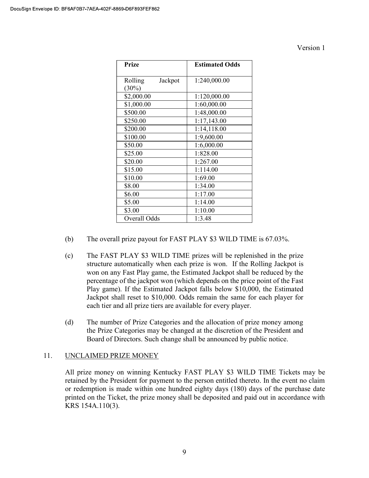| Prize                          | <b>Estimated Odds</b> |  |  |
|--------------------------------|-----------------------|--|--|
| Rolling<br>Jackpot<br>$(30\%)$ | 1:240,000.00          |  |  |
| \$2,000.00                     | 1:120,000.00          |  |  |
| \$1,000.00                     | 1:60,000.00           |  |  |
| \$500.00                       | 1:48,000.00           |  |  |
| \$250.00                       | 1:17,143.00           |  |  |
| \$200.00                       | 1:14,118.00           |  |  |
| \$100.00                       | 1:9,600.00            |  |  |
| \$50.00                        | 1:6,000.00            |  |  |
| \$25.00                        | 1:828.00              |  |  |
| \$20.00                        | 1:267.00              |  |  |
| \$15.00                        | 1:114.00              |  |  |
| \$10.00                        | 1:69.00               |  |  |
| \$8.00                         | 1:34.00               |  |  |
| \$6.00                         | 1:17.00               |  |  |
| \$5.00                         | 1:14.00               |  |  |
| \$3.00                         | 1:10.00               |  |  |
| Overall Odds                   | 1:3.48                |  |  |

- (b) The overall prize payout for FAST PLAY \$3 WILD TIME is 67.03%.
- (c) The FAST PLAY \$3 WILD TIME prizes will be replenished in the prize structure automatically when each prize is won. If the Rolling Jackpot is won on any Fast Play game, the Estimated Jackpot shall be reduced by the percentage of the jackpot won (which depends on the price point of the Fast Play game). If the Estimated Jackpot falls below \$10,000, the Estimated Jackpot shall reset to \$10,000. Odds remain the same for each player for each tier and all prize tiers are available for every player.
- (d) The number of Prize Categories and the allocation of prize money among the Prize Categories may be changed at the discretion of the President and Board of Directors. Such change shall be announced by public notice.

# 11. UNCLAIMED PRIZE MONEY

All prize money on winning Kentucky FAST PLAY \$3 WILD TIME Tickets may be retained by the President for payment to the person entitled thereto. In the event no claim or redemption is made within one hundred eighty days (180) days of the purchase date printed on the Ticket, the prize money shall be deposited and paid out in accordance with KRS 154A.110(3).